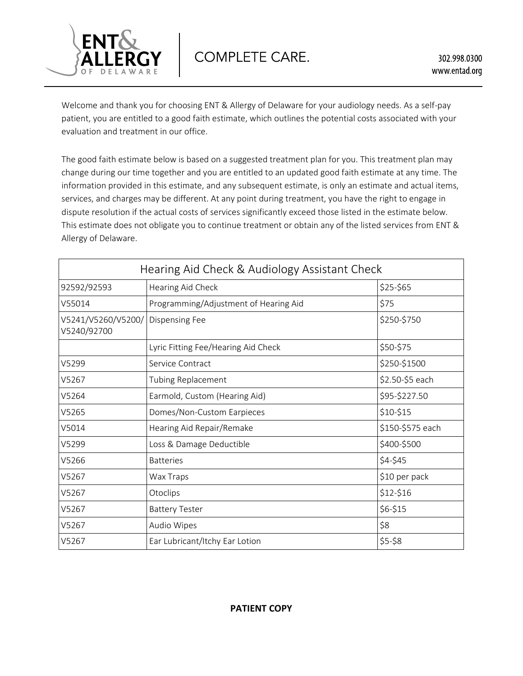

Welcome and thank you for choosing ENT & Allergy of Delaware for your audiology needs. As a self-pay patient, you are entitled to a good faith estimate, which outlines the potential costs associated with your evaluation and treatment in our office.

The good faith estimate below is based on a suggested treatment plan for you. This treatment plan may change during our time together and you are entitled to an updated good faith estimate at any time. The information provided in this estimate, and any subsequent estimate, is only an estimate and actual items, services, and charges may be different. At any point during treatment, you have the right to engage in dispute resolution if the actual costs of services significantly exceed those listed in the estimate below. This estimate does not obligate you to continue treatment or obtain any of the listed services from ENT & Allergy of Delaware.

| Hearing Aid Check & Audiology Assistant Check |                                       |                  |  |  |
|-----------------------------------------------|---------------------------------------|------------------|--|--|
| 92592/92593                                   | Hearing Aid Check                     | \$25-\$65        |  |  |
| V55014                                        | Programming/Adjustment of Hearing Aid | \$75             |  |  |
| V5241/V5260/V5200/<br>V5240/92700             | <b>Dispensing Fee</b>                 | \$250-\$750      |  |  |
|                                               | Lyric Fitting Fee/Hearing Aid Check   | \$50-\$75        |  |  |
| V5299                                         | Service Contract                      | \$250-\$1500     |  |  |
| V5267                                         | Tubing Replacement                    | \$2.50-\$5 each  |  |  |
| V5264                                         | Earmold, Custom (Hearing Aid)         | \$95-\$227.50    |  |  |
| V5265                                         | Domes/Non-Custom Earpieces            | \$10-\$15        |  |  |
| V5014                                         | Hearing Aid Repair/Remake             | \$150-\$575 each |  |  |
| V5299                                         | Loss & Damage Deductible              | \$400-\$500      |  |  |
| V5266                                         | <b>Batteries</b>                      | \$4-\$45         |  |  |
| V5267                                         | Wax Traps                             | \$10 per pack    |  |  |
| V5267                                         | Otoclips                              | \$12-\$16        |  |  |
| V5267                                         | <b>Battery Tester</b>                 | \$6-\$15         |  |  |
| V5267                                         | Audio Wipes                           | \$8              |  |  |
| V5267                                         | Ear Lubricant/Itchy Ear Lotion        | $$5-$8$          |  |  |

## **PATIENT COPY**